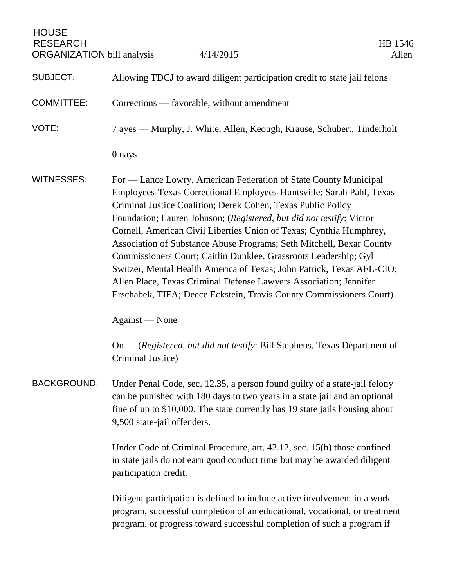HOUSE RESEARCH<br>
ORGANIZATION bill analysis  $4/14/2015$  HB 1546<br>
Allen ORGANIZATION bill analysis

| <b>SUBJECT:</b>    | Allowing TDCJ to award diligent participation credit to state jail felons                                                                                                                                                                                                                                                                                                                                                                                                                                                                                                                                                                                                                                                                  |
|--------------------|--------------------------------------------------------------------------------------------------------------------------------------------------------------------------------------------------------------------------------------------------------------------------------------------------------------------------------------------------------------------------------------------------------------------------------------------------------------------------------------------------------------------------------------------------------------------------------------------------------------------------------------------------------------------------------------------------------------------------------------------|
| <b>COMMITTEE:</b>  | Corrections — favorable, without amendment                                                                                                                                                                                                                                                                                                                                                                                                                                                                                                                                                                                                                                                                                                 |
| VOTE:              | 7 ayes — Murphy, J. White, Allen, Keough, Krause, Schubert, Tinderholt                                                                                                                                                                                                                                                                                                                                                                                                                                                                                                                                                                                                                                                                     |
|                    | 0 nays                                                                                                                                                                                                                                                                                                                                                                                                                                                                                                                                                                                                                                                                                                                                     |
| <b>WITNESSES:</b>  | For — Lance Lowry, American Federation of State County Municipal<br>Employees-Texas Correctional Employees-Huntsville; Sarah Pahl, Texas<br>Criminal Justice Coalition; Derek Cohen, Texas Public Policy<br>Foundation; Lauren Johnson; (Registered, but did not testify: Victor<br>Cornell, American Civil Liberties Union of Texas; Cynthia Humphrey,<br>Association of Substance Abuse Programs; Seth Mitchell, Bexar County<br>Commissioners Court; Caitlin Dunklee, Grassroots Leadership; Gyl<br>Switzer, Mental Health America of Texas; John Patrick, Texas AFL-CIO;<br>Allen Place, Texas Criminal Defense Lawyers Association; Jennifer<br>Erschabek, TIFA; Deece Eckstein, Travis County Commissioners Court)<br>Against — None |
|                    | On — (Registered, but did not testify: Bill Stephens, Texas Department of<br>Criminal Justice)                                                                                                                                                                                                                                                                                                                                                                                                                                                                                                                                                                                                                                             |
| <b>BACKGROUND:</b> | Under Penal Code, sec. 12.35, a person found guilty of a state-jail felony<br>can be punished with 180 days to two years in a state jail and an optional<br>fine of up to \$10,000. The state currently has 19 state jails housing about<br>9,500 state-jail offenders.                                                                                                                                                                                                                                                                                                                                                                                                                                                                    |
|                    | Under Code of Criminal Procedure, art. 42.12, sec. 15(h) those confined<br>in state jails do not earn good conduct time but may be awarded diligent<br>participation credit.                                                                                                                                                                                                                                                                                                                                                                                                                                                                                                                                                               |
|                    | Diligent participation is defined to include active involvement in a work<br>program, successful completion of an educational, vocational, or treatment<br>program, or progress toward successful completion of such a program if                                                                                                                                                                                                                                                                                                                                                                                                                                                                                                          |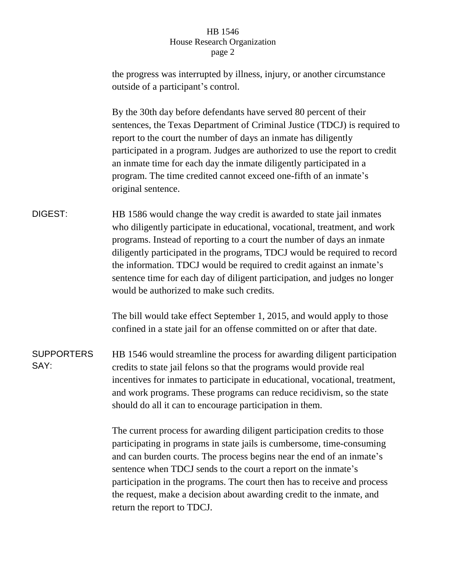## HB 1546 House Research Organization page 2

the progress was interrupted by illness, injury, or another circumstance outside of a participant's control. By the 30th day before defendants have served 80 percent of their sentences, the Texas Department of Criminal Justice (TDCJ) is required to report to the court the number of days an inmate has diligently participated in a program. Judges are authorized to use the report to credit an inmate time for each day the inmate diligently participated in a program. The time credited cannot exceed one-fifth of an inmate's original sentence. DIGEST: HB 1586 would change the way credit is awarded to state jail inmates who diligently participate in educational, vocational, treatment, and work programs. Instead of reporting to a court the number of days an inmate diligently participated in the programs, TDCJ would be required to record the information. TDCJ would be required to credit against an inmate's sentence time for each day of diligent participation, and judges no longer would be authorized to make such credits. The bill would take effect September 1, 2015, and would apply to those confined in a state jail for an offense committed on or after that date. **SUPPORTERS** SAY: HB 1546 would streamline the process for awarding diligent participation credits to state jail felons so that the programs would provide real incentives for inmates to participate in educational, vocational, treatment, and work programs. These programs can reduce recidivism, so the state should do all it can to encourage participation in them. The current process for awarding diligent participation credits to those participating in programs in state jails is cumbersome, time-consuming and can burden courts. The process begins near the end of an inmate's sentence when TDCJ sends to the court a report on the inmate's participation in the programs. The court then has to receive and process the request, make a decision about awarding credit to the inmate, and

return the report to TDCJ.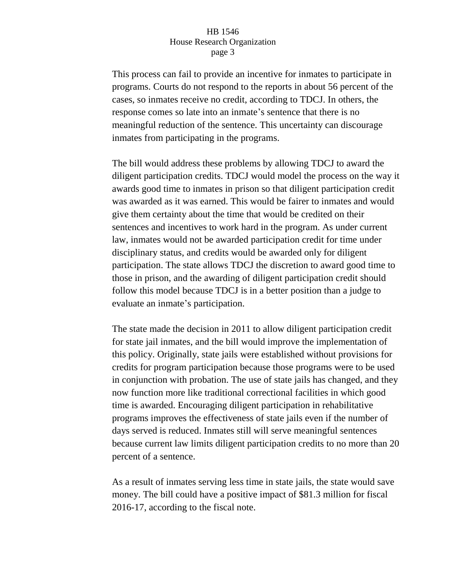## HB 1546 House Research Organization page 3

This process can fail to provide an incentive for inmates to participate in programs. Courts do not respond to the reports in about 56 percent of the cases, so inmates receive no credit, according to TDCJ. In others, the response comes so late into an inmate's sentence that there is no meaningful reduction of the sentence. This uncertainty can discourage inmates from participating in the programs.

The bill would address these problems by allowing TDCJ to award the diligent participation credits. TDCJ would model the process on the way it awards good time to inmates in prison so that diligent participation credit was awarded as it was earned. This would be fairer to inmates and would give them certainty about the time that would be credited on their sentences and incentives to work hard in the program. As under current law, inmates would not be awarded participation credit for time under disciplinary status, and credits would be awarded only for diligent participation. The state allows TDCJ the discretion to award good time to those in prison, and the awarding of diligent participation credit should follow this model because TDCJ is in a better position than a judge to evaluate an inmate's participation.

The state made the decision in 2011 to allow diligent participation credit for state jail inmates, and the bill would improve the implementation of this policy. Originally, state jails were established without provisions for credits for program participation because those programs were to be used in conjunction with probation. The use of state jails has changed, and they now function more like traditional correctional facilities in which good time is awarded. Encouraging diligent participation in rehabilitative programs improves the effectiveness of state jails even if the number of days served is reduced. Inmates still will serve meaningful sentences because current law limits diligent participation credits to no more than 20 percent of a sentence.

As a result of inmates serving less time in state jails, the state would save money. The bill could have a positive impact of \$81.3 million for fiscal 2016-17, according to the fiscal note.